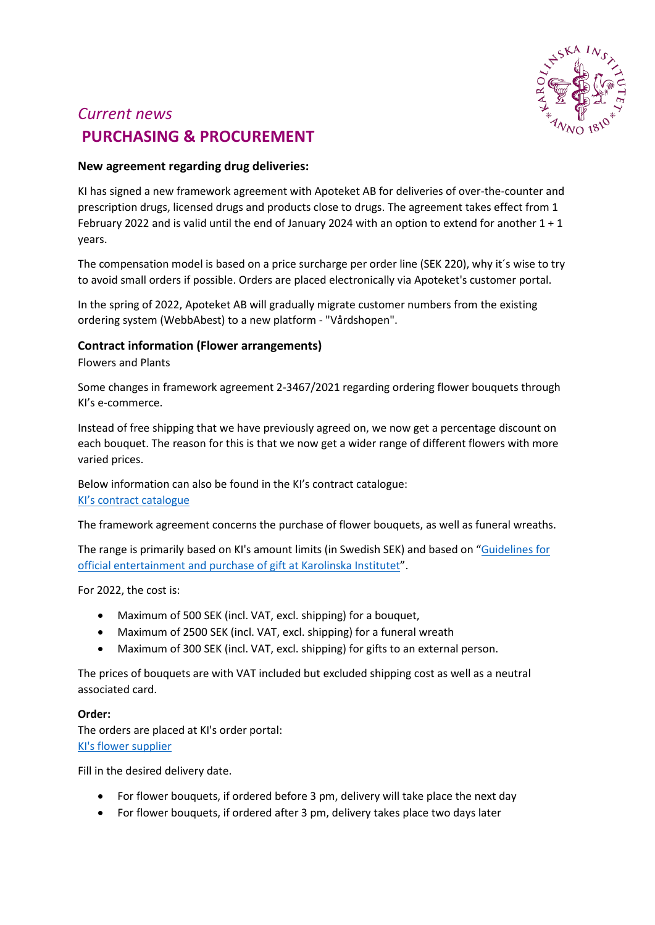

# *Current news* **PURCHASING & PROCUREMENT**

### **New agreement regarding drug deliveries:**

KI has signed a new framework agreement with Apoteket AB for deliveries of over-the-counter and prescription drugs, licensed drugs and products close to drugs. The agreement takes effect from 1 February 2022 and is valid until the end of January 2024 with an option to extend for another 1 + 1 years.

The compensation model is based on a price surcharge per order line (SEK 220), why it´s wise to try to avoid small orders if possible. Orders are placed electronically via Apoteket's customer portal.

In the spring of 2022, Apoteket AB will gradually migrate customer numbers from the existing ordering system (WebbAbest) to a new platform - "Vårdshopen".

### **Contract information (Flower arrangements)**

Flowers and Plants

Some changes in framework agreement 2-3467/2021 regarding ordering flower bouquets through KI's e-commerce.

Instead of free shipping that we have previously agreed on, we now get a percentage discount on each bouquet. The reason for this is that we now get a wider range of different flowers with more varied prices.

Below information can also be found in the KI's contract catalogue: [KI's contract catalogue](https://contracts.opic.com/ContractArea/Details/585295)

The framework agreement concerns the purchase of flower bouquets, as well as funeral wreaths.

The range is primarily based on KI's amount limits (in Swedish SEK) and based on ["Guidelines for](https://staff.ki.se/rules-for-official-entertainment-and-gifts-at-karolinska-institutet)  [official entertainment and purchase of gift at Karolinska Institutet"](https://staff.ki.se/rules-for-official-entertainment-and-gifts-at-karolinska-institutet).

For 2022, the cost is:

- Maximum of 500 SEK (incl. VAT, excl. shipping) for a bouquet,
- Maximum of 2500 SEK (incl. VAT, excl. shipping) for a funeral wreath
- Maximum of 300 SEK (incl. VAT, excl. shipping) for gifts to an external person.

The prices of bouquets are with VAT included but excluded shipping cost as well as a neutral associated card.

### **Order:**

The orders are placed at KI's order portal: [KI's flower supplier](http://ki.blomma.se/)

Fill in the desired delivery date.

- For flower bouquets, if ordered before 3 pm, delivery will take place the next day
- For flower bouquets, if ordered after 3 pm, delivery takes place two days later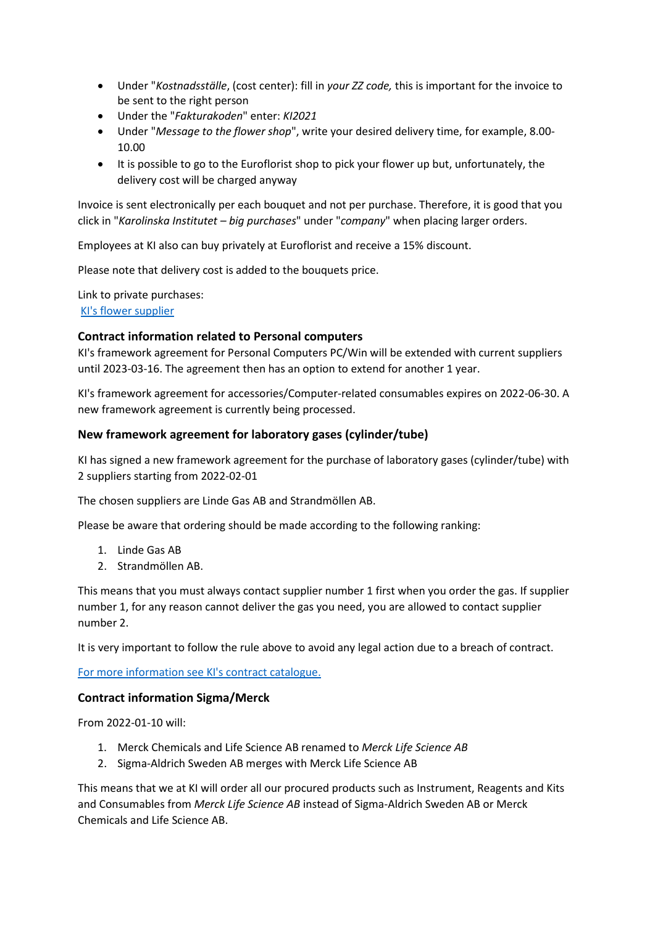- Under "*Kostnadsställe*, (cost center): fill in *your ZZ code,* this is important for the invoice to be sent to the right person
- Under the "*Fakturakoden*" enter: *KI2021*
- Under "*Message to the flower shop*", write your desired delivery time, for example, 8.00- 10.00
- It is possible to go to the Euroflorist shop to pick your flower up but, unfortunately, the delivery cost will be charged anyway

Invoice is sent electronically per each bouquet and not per purchase. Therefore, it is good that you click in "*Karolinska Institutet – big purchases*" under "*company*" when placing larger orders.

Employees at KI also can buy privately at Euroflorist and receive a 15% discount.

Please note that delivery cost is added to the bouquets price.

Link to private purchases: [KI's flower supplier](http://ki-anstallda.blomma.se/)

## **Contract information related to Personal computers**

KI's framework agreement for Personal Computers PC/Win will be extended with current suppliers until 2023-03-16. The agreement then has an option to extend for another 1 year.

KI's framework agreement for accessories/Computer-related consumables expires on 2022-06-30. A new framework agreement is currently being processed.

### **New framework agreement for laboratory gases (cylinder/tube)**

KI has signed a new framework agreement for the purchase of laboratory gases (cylinder/tube) with 2 suppliers starting from 2022-02-01

The chosen suppliers are Linde Gas AB and Strandmöllen AB.

Please be aware that ordering should be made according to the following ranking:

- 1. Linde Gas AB
- 2. Strandmöllen AB.

This means that you must always contact supplier number 1 first when you order the gas. If supplier number 1, for any reason cannot deliver the gas you need, you are allowed to contact supplier number 2.

It is very important to follow the rule above to avoid any legal action due to a breach of contract.

[For more information see KI's contract catalogue.](https://contracts.opic.com/ContractArea/Details/2102159)

### **Contract information Sigma/Merck**

From 2022-01-10 will:

- 1. Merck Chemicals and Life Science AB renamed to *Merck Life Science AB*
- 2. Sigma-Aldrich Sweden AB merges with Merck Life Science AB

This means that we at KI will order all our procured products such as Instrument, Reagents and Kits and Consumables from *Merck Life Science AB* instead of Sigma-Aldrich Sweden AB or Merck Chemicals and Life Science AB.